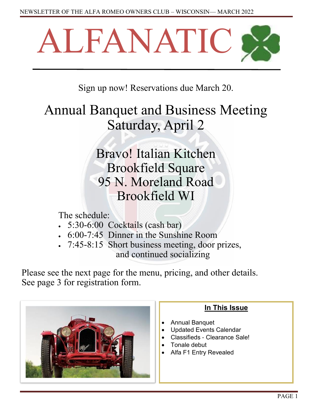

Sign up now! Reservations due March 20.

# Annual Banquet and Business Meeting Saturday, April 2

# Bravo! Italian Kitchen Brookfield Square 95 N. Moreland Road Brookfield WI

The schedule:

- 5:30-6:00 Cocktails (cash bar)
- 6:00-7:45 Dinner in the Sunshine Room
- 7:45-8:15 Short business meeting, door prizes, and continued socializing

Please see the next page for the menu, pricing, and other details. See page 3 for registration form.



# **In This Issue**

- Annual Banquet
- Updated Events Calendar
- Classifieds Clearance Sale!
- Tonale debut
- Alfa F1 Entry Revealed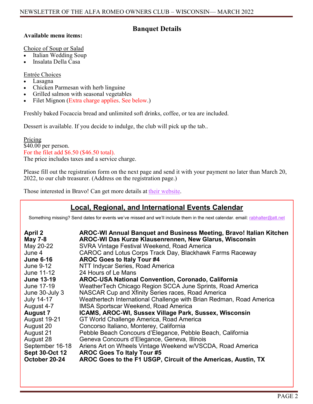### **Banquet Details**

# **Available menu items:**

Choice of Soup or Salad

- Italian Wedding Soup
- Insalata Della Casa

Entrée Choices

- Lasagna
- Chicken Parmesan with herb linguine
- Grilled salmon with seasonal vegetables
- Filet Mignon (Extra charge applies. See below.)

Freshly baked Focaccia bread and unlimited soft drinks, coffee, or tea are included.

Dessert is available. If you decide to indulge, the club will pick up the tab..

Pricing \$40.00 per person. For the filet add \$6.50 (\$46.50 total). The price includes taxes and a service charge.

Please fill out the registration form on the next page and send it with your payment no later than March 20, 2022, to our club treasurer. (Address on the registration page.)

Those interested in Bravo! Can get more details at [their website.](https://locations.bravoitalian.com/us/wi/brookfield/95-n-moorland-rd)

# **Local, Regional, and International Events Calendar**

Something missing? Send dates for events we've missed and we'll include them in the next calendar. email: [rabhalter@att.net](mailto:rabhalter@att.net?subject=New%20Events%20for%20Calendar)

| <b>April 2</b><br><b>May 7-8</b><br>May 20-22<br>June 4<br><b>June 6-16</b><br>June 9-12<br>June 11-12<br><b>June 13-19</b><br>June 17-19<br>June 30-July 3<br><b>July 14-17</b><br>August 4-7<br><b>August 7</b><br>August 19-21<br>August 20<br>August 21<br>August 28<br>September 16-18<br><b>Sept 30-Oct 12</b> | AROC-WI Annual Banquet and Business Meeting, Bravo! Italian Kitchen<br>AROC-WI Das Kurze Klausenrennen, New Glarus, Wisconsin<br><b>SVRA Vintage Festival Weekend, Road America</b><br>CAROC and Lotus Corps Track Day, Blackhawk Farms Raceway<br><b>AROC Goes to Italy Tour #4</b><br>NTT Indycar Series, Road America<br>24 Hours of Le Mans<br><b>AROC-USA National Convention, Coronado, California</b><br>WeatherTech Chicago Region SCCA June Sprints, Road America<br>NASCAR Cup and Xfinity Series races, Road America<br>Weathertech International Challenge with Brian Redman, Road America<br><b>IMSA Sportscar Weekend, Road America</b><br>ICAMS, AROC-WI, Sussex Village Park, Sussex, Wisconsin<br>GT World Challenge America, Road America<br>Concorso Italiano, Monterey, California<br>Pebble Beach Concours d'Elegance, Pebble Beach, California<br>Geneva Concours d'Elegance, Geneva, Illinois<br>Ariens Art on Wheels Vintage Weekend w/VSCDA, Road America<br><b>AROC Goes To Italy Tour #5</b> |
|----------------------------------------------------------------------------------------------------------------------------------------------------------------------------------------------------------------------------------------------------------------------------------------------------------------------|-------------------------------------------------------------------------------------------------------------------------------------------------------------------------------------------------------------------------------------------------------------------------------------------------------------------------------------------------------------------------------------------------------------------------------------------------------------------------------------------------------------------------------------------------------------------------------------------------------------------------------------------------------------------------------------------------------------------------------------------------------------------------------------------------------------------------------------------------------------------------------------------------------------------------------------------------------------------------------------------------------------------------|
|                                                                                                                                                                                                                                                                                                                      |                                                                                                                                                                                                                                                                                                                                                                                                                                                                                                                                                                                                                                                                                                                                                                                                                                                                                                                                                                                                                         |
| October 20-24                                                                                                                                                                                                                                                                                                        | AROC Goes to the F1 USGP, Circuit of the Americas, Austin, TX                                                                                                                                                                                                                                                                                                                                                                                                                                                                                                                                                                                                                                                                                                                                                                                                                                                                                                                                                           |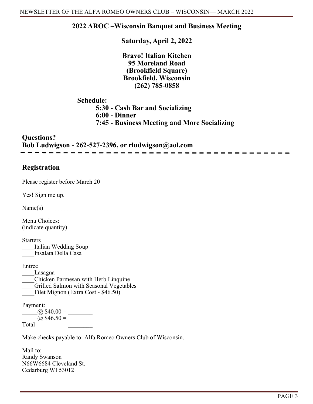#### **2022 AROC –Wisconsin Banquet and Business Meeting**

**Saturday, April 2, 2022**

**Bravo! Italian Kitchen 95 Moreland Road (Brookfield Square) Brookfield, Wisconsin (262) 785-0858** 

**Schedule:**

**5:30 - Cash Bar and Socializing 6:00 - Dinner**

**7:45 - Business Meeting and More Socializing**

**Questions? Bob Ludwigson - 262-527-2396, or rludwigson@aol.com**

## **Registration**

Please register before March 20

Yes! Sign me up.

 $Name(s)$ 

Menu Choices: (indicate quantity)

**Starters** Italian Wedding Soup Insalata Della Casa

Entrée

\_\_\_\_Lasagna \_\_\_\_Chicken Parmesan with Herb Linquine

Grilled Salmon with Seasonal Vegetables

 $\overline{\phantom{a}}$ Filet Mignon (Extra Cost - \$46.50)

Payment:

 $\omega$  \$40.00 =  $\omega$  \$46.50 = Total \_\_\_\_\_\_\_\_

Make checks payable to: Alfa Romeo Owners Club of Wisconsin.

Mail to: Randy Swanson N66W6684 Cleveland St. Cedarburg WI 53012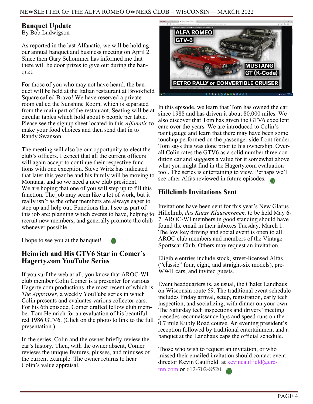#### **Banquet Update**

By Bob Ludwigson

As reported in the last Alfanatic, we will be holding our annual banquet and business meeting on April 2. Since then Gary Schommer has informed me that there will be door prizes to give out during the banquet.

For those of you who may not have heard, the banquet will be held at the Italian restaurant at Brookfield Square called Bravo! We have reserved a private room called the Sunshine Room, which is separated from the main part of the restaurant. Seating will be at circular tables which hold about 6 people per table. Please see the signup sheet located in this *Alfanatic* to make your food choices and then send that in to Randy Swanson.

The meeting will also be our opportunity to elect the club's officers. I expect that all the current officers will again accept to continue their respective functions with one exception. Steve Wirtz has indicated that later this year he and his family will be moving to Montana, and so we need a new club president. We are hoping that one of you will step up to fill this function. The job may seem like a lot of work, but it really isn't as the other members are always eager to step up and help out. Functions that I see as part of this job are: planning which events to have, helping to recruit new members, and generally promote the club whenever possible.

I hope to see you at the banquet!

## **Heinrich and His GTV6 Star in Comer's Hagerty.com YouTube Series**

If you surf the web at all, you know that AROC-WI club member Colin Comer is a presenter for various Hagerty.com productions, the most recent of which is *The Appraiser,* a weekly YouTube series in which Colin presents and evaluates various collector cars. For his 6th episode, Comer drafted fellow club member Tom Heinrich for an evaluation of his beautiful red 1986 GTV6. (Click on the photo to link to the full presentation.)

In the series, Colin and the owner briefly review the car's history. Then, with the owner absent, Comer reviews the unique features, plusses, and minuses of the current example. The owner returns to hear Colin's value appraisal.



In this episode, we learn that Tom has owned the car since 1988 and has driven it about 80,000 miles. We also discover that Tom has given the GTV6 excellent care over the years. We are introduced to Colin's paint gauge and learn that there may have been some touchup performed on the passenger side front fender. Tom says this was done prior to his ownership. Overall Colin rates the GTV6 as a solid number three condition car and suggests a value for it somewhat above what you might find in the Hagerty.com evaluation tool. The series is entertaining to view. Perhaps we'll see other Alfas reviewed in future episodes.

# **Hillclimb Invitations Sent**

Invitations have been sent for this year's New Glarus Hillclimb, *das Kurzr Klausenrenen,* to be held May 6- 7. AROC-WI members in good standing should have found the email in their inboxes Tuesday, March 1. The low key driving and social event is open to all AROC club members and members of the Vintage Sportscar Club. Others may request an invitation.

Eligible entries include stock, street-licensed Alfas ("classic" four, eight, and straight-six models), pre-WWII cars, and invited guests.

Event headquarters is, as usual, the Chalet Landhaus on Wisconsin route 69. The traditional event schedule includes Friday arrival, setup, registration, early tech inspection, and socializing, with dinner on your own. The Saturday tech inspections and drivers' meeting precedes reconnaissance laps and speed runs on the 0.7 mile Kubly Road course. An evening president's reception followed by traditional entertainment and a banquet at the Landhaus caps the official schedule.

Those who wish to request an invitation, or who missed their emailed invitation should contact event director Kevin Caulfield at [kevincaulfield@crc](mailto:kevincaulfield@crc-mn.com) $\frac{\text{mn.com}}{\text{8}}$  $\frac{\text{mn.com}}{\text{8}}$  $\frac{\text{mn.com}}{\text{8}}$  or 612-702-8520.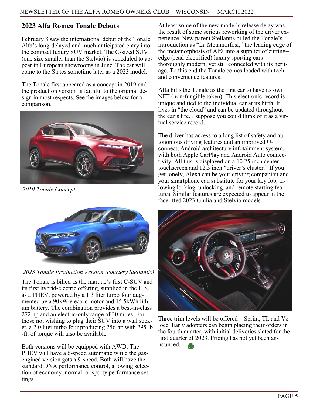## **2023 Alfa Romeo Tonale Debuts**

February 8 saw the international debut of the Tonale, Alfa's long-delayed and much-anticipated entry into the compact luxury SUV market. The C-sized SUV (one size smaller than the Stelvio) is scheduled to appear in European showrooms in June. The car will come to the States sometime later as a 2023 model.

The Tonale first appeared as a concept in 2019 and the production version is faithful to the original design in most respects. See the images below for a comparison.



*2019 Tonale Concept*



*2023 Tonale Production Version (courtesy Stellantis)*

The Tonale is billed as the marque's first C-SUV and its first hybrid-electric offering, supplied in the U.S. as a PHEV, powered by a 1.3 liter turbo four augmented by a 90kW electric motor and 15.5kWh lithium battery. The combination provides a best-in-class 272 hp and an electric-only range of 30 miles. For those not wishing to plug their SUV into a wall socket, a 2.0 liter turbo four producing 256 hp with 295 lb. -ft. of torque will also be available.

Both versions will be equipped with AWD. The PHEV will have a 6-speed automatic while the gasengined version gets a 9-speed. Both will have the standard DNA performance control, allowing selection of economy, normal, or sporty performance settings.

At least some of the new model's release delay was the result of some serious reworking of the driver experience. New parent Stellantis billed the Tonale's introduction as "La Metamorfosi," the leading edge of the metamorphosis of Alfa into a supplier of cutting– edge (read electrified) luxury sporting cars thoroughly modern, yet still connected with its heritage. To this end the Tonale comes loaded with tech and convenience features.

Alfa bills the Tonale as the first car to have its own NFT (non-fungible token). This electronic record is unique and tied to the individual car at its birth. It lives in "the cloud" and can be updated throughout the car's life. I suppose you could think of it as a virtual service record.

The driver has access to a long list of safety and autonomous driving features and an improved Uconnect, Android architecture infotainment system, with both Apple CarPlay and Android Auto connectivity. All this is displayed on a 10.25 inch center touchscreen and 12.3 inch "driver's cluster." If you get lonely, Alexa can be your driving companion and your smartphone can substitute for your key fob, allowing locking, unlocking, and remote starting features. Similar features are expected to appear in the facelifted 2023 Giulia and Stelvio models.



Three trim levels will be offered—Sprint, TI, and Veloce. Early adopters can begin placing their orders in the fourth quarter, with initial deliveries slated for the first quarter of 2023. Pricing has not yet been announced.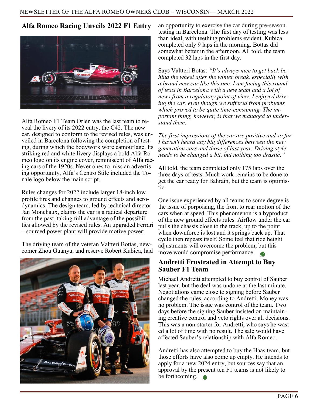## **Alfa Romeo Racing Unveils 2022 F1 Entry**



Alfa Romeo F1 Team Orlen was the last team to reveal the livery of its 2022 entry, the C42. The new car, designed to conform to the revised rules, was unveiled in Barcelona following the completion of testing, during which the bodywork wore camouflage. Its striking red and white livery displays a bold Alfa Romeo logo on its engine cover, reminiscent of Alfa racing cars of the 1920s. Never ones to miss an advertising opportunity, Alfa's Centro Stile included the Tonale logo below the main script.

Rules changes for 2022 include larger 18-inch low profile tires and changes to ground effects and aerodynamics. The design team, led by technical director Jan Monchaux, claims the car is a radical departure from the past, taking full advantage of the possibilities allowed by the revised rules. An upgraded Ferrari – sourced power plant will provide motive power;

The driving team of the veteran Valtteri Bottas, newcomer Zhou Guanyu, and reserve Robert Kubica, had



an opportunity to exercise the car during pre-season testing in Barcelona. The first day of testing was less than ideal, with teething problems evident. Kubica completed only 9 laps in the morning. Bottas did somewhat better in the afternoon. All told, the team completed 32 laps in the first day.

Says Valtteri Botas: *"It's always nice to get back behind the wheel after the winter break, especially with a brand new car like this one. I am facing this round of tests in Barcelona with a new team and a lot of news from a regulatory point of view. I enjoyed driving the car, even though we suffered from problems which proved to be quite time-consuming. The important thing, however, is that we managed to understand them.*

*The first impressions of the car are positive and so far I haven't heard any big differences between the new generation cars and those of last year. Driving style needs to be changed a bit, but nothing too drastic."*

All told, the team completed only 175 laps over the three days of tests. Much work remains to be done to get the car ready for Bahrain, but the team is optimistic.

One issue experienced by all teams to some degree is the issue of porpoising, the front to rear motion of the cars when at speed. This phenomenon is a byproduct of the new ground effects rules. Airflow under the car pulls the chassis close to the track, up to the point when downforce is lost and it springs back up. That cycle then repeats itself. Some feel that ride height adjustments will overcome the problem, but this move would compromise performance.

#### **Andretti Frustrated in Attempt to Buy Sauber F1 Team**

Michael Andretti attempted to buy control of Sauber last year, but the deal was undone at the last minute. Negotiations came close to signing before Sauber changed the rules, according to Andretti. Money was no problem. The issue was control of the team. Two days before the signing Sauber insisted on maintaining creative control and veto rights over all decisions. This was a non-starter for Andretti, who says he wasted a lot of time with no result. The sale would have affected Sauber's relationship with Alfa Romeo.

Andretti has also attempted to buy the Haas team, but those efforts have also come up empty. He intends to apply for a new 2024 entry, but sources say that an approval by the present ten F1 teams is not likely to be forthcoming.  $\bullet$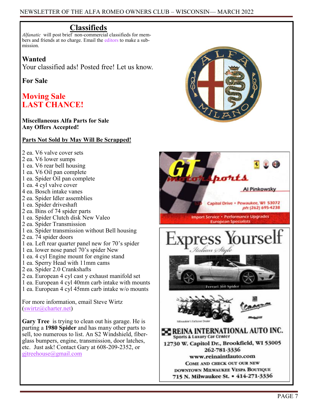# **Classifieds**

*Alfanatic* will post brief non-commercial classifieds for members and friends at no charge. Email the [editors](mailto:rabhalter@att.net) to make a submission.

### **Wanted**

Your classified ads! Posted free! Let us know.

## **For Sale**

# **Moving Sale LAST CHANCE!**

#### **Miscellaneous Alfa Parts for Sale Any Offers Accepted!**

#### **Parts Not Sold by May Will Be Scrapped!**

- 2 ea. V6 valve cover sets
- 2 ea. V6 lower sumps
- 1 ea. V6 rear bell housing
- 1 ea. V6 Oil pan complete
- 1 ea. Spider Oil pan complete
- 1 ea. 4 cyl valve cover
- 4 ea. Bosch intake vanes
- 2 ea. Spider Idler assemblies
- 1 ea. Spider driveshaft
- 2 ea. Bins of 74 spider parts
- 1 ea. Spider Clutch disk New Valeo
- 2 ea. Spider Transmission
- 1 ea. Spider transmission without Bell housing
- 2 ea. 74 spider doors
- 1 ea. Left rear quarter panel new for 70's spider
- 1 ea. lower nose panel 70's spider New
- 1 ea. 4 cyl Engine mount for engine stand
- 1 ea. Sperry Head with 11mm cams
- 2 ea. Spider 2.0 Crankshafts
- 2 ea. European 4 cyl cast y exhaust manifold set
- 1 ea. European 4 cyl 40mm carb intake with mounts
- 1 ea. European 4 cyl 45mm carb intake w/o mounts

For more information, email Steve Wirtz [\(swirtz@charter.net\)](mailto:swirtz@charter.net?subject=Alfa%20Parts)

**Gary Tree** is trying to clean out his garage. He is parting a **1980 Spider** and has many other parts to sell, too numerous to list. An S2 Windshield, fiberglass bumpers, engine, transmission, door latches, etc. Just ask! Contact Gary at 608-209-2352, or [gjtreehouse@gmail.com](mailto:gjtreehouse@gmail.com)